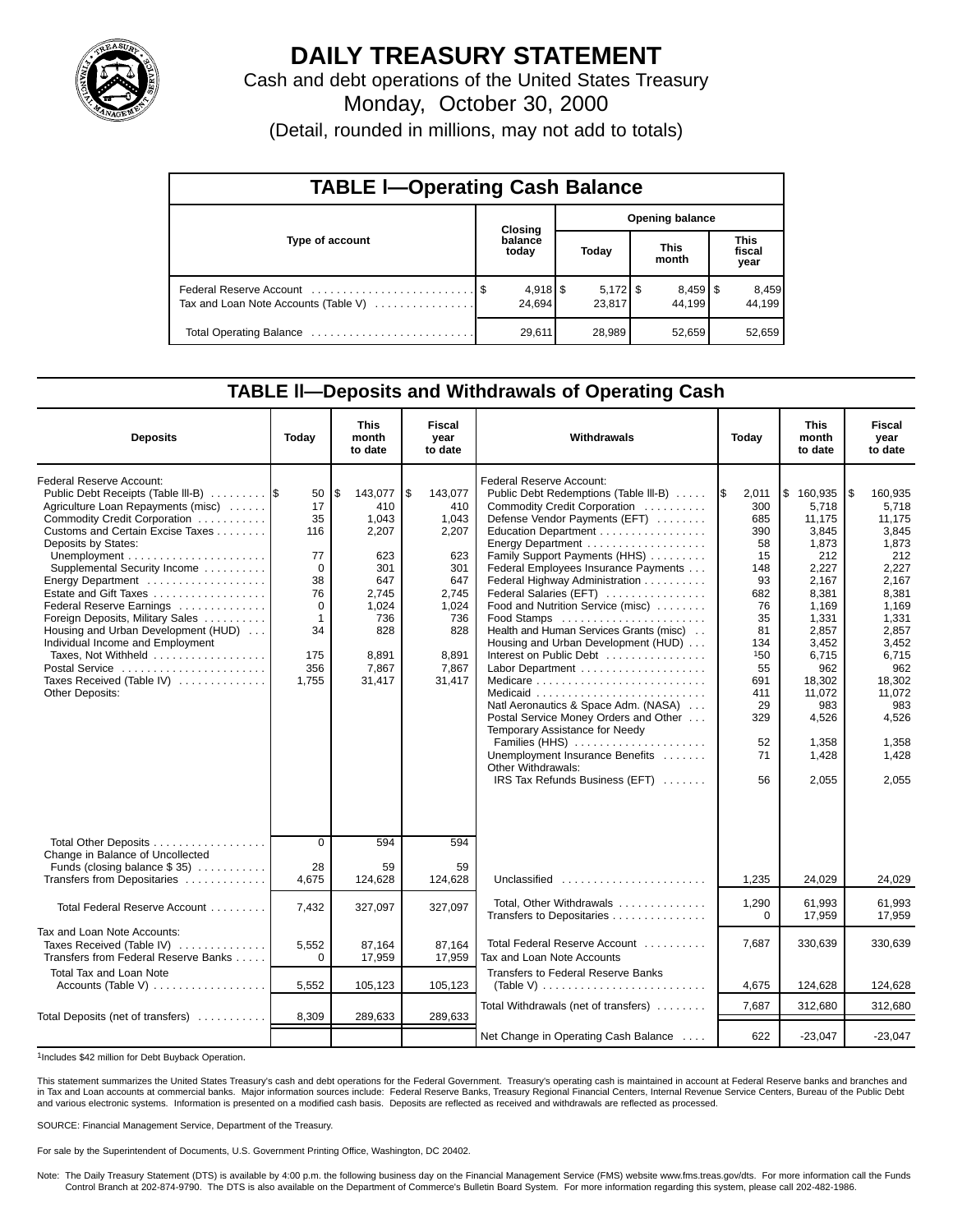

# **DAILY TREASURY STATEMENT**

Cash and debt operations of the United States Treasury

Monday, October 30, 2000

(Detail, rounded in millions, may not add to totals)

| <b>TABLE I-Operating Cash Balance</b> |  |                                 |                        |                      |                      |                                 |                               |                 |  |  |
|---------------------------------------|--|---------------------------------|------------------------|----------------------|----------------------|---------------------------------|-------------------------------|-----------------|--|--|
|                                       |  | Closing                         | <b>Opening balance</b> |                      |                      |                                 |                               |                 |  |  |
| Type of account                       |  | balance<br>today                | Today                  |                      | <b>This</b><br>month |                                 | <b>This</b><br>fiscal<br>year |                 |  |  |
| Tax and Loan Note Accounts (Table V)  |  | $4,918$ $\frac{8}{3}$<br>24.694 |                        | $5,172$ \$<br>23,817 |                      | $8,459$ $\frac{8}{3}$<br>44.199 |                               | 8,459<br>44.199 |  |  |
| Total Operating Balance               |  | 29,611                          |                        | 28,989               |                      | 52,659                          |                               | 52,659          |  |  |

### **TABLE ll—Deposits and Withdrawals of Operating Cash**

| <b>Deposits</b>                                                                                                                                                                                                                                                                                                                                                                                                                                                                                                          | Today                                                                                                      | <b>This</b><br>month<br>to date                                                                                         | <b>Fiscal</b><br>year<br>to date                                                                                         | Withdrawals                                                                                                                                                                                                                                                                                                                                                                                                                                                                                                                                                                                                                                                                                                           |                                                                                                                                                      | <b>This</b><br>Today<br>month<br>to date                                                                                                                                                                 |                                                                                                                                                                                                          |
|--------------------------------------------------------------------------------------------------------------------------------------------------------------------------------------------------------------------------------------------------------------------------------------------------------------------------------------------------------------------------------------------------------------------------------------------------------------------------------------------------------------------------|------------------------------------------------------------------------------------------------------------|-------------------------------------------------------------------------------------------------------------------------|--------------------------------------------------------------------------------------------------------------------------|-----------------------------------------------------------------------------------------------------------------------------------------------------------------------------------------------------------------------------------------------------------------------------------------------------------------------------------------------------------------------------------------------------------------------------------------------------------------------------------------------------------------------------------------------------------------------------------------------------------------------------------------------------------------------------------------------------------------------|------------------------------------------------------------------------------------------------------------------------------------------------------|----------------------------------------------------------------------------------------------------------------------------------------------------------------------------------------------------------|----------------------------------------------------------------------------------------------------------------------------------------------------------------------------------------------------------|
| Federal Reserve Account:<br>Public Debt Receipts (Table III-B)<br>Agriculture Loan Repayments (misc)<br>Commodity Credit Corporation<br>Customs and Certain Excise Taxes<br>Deposits by States:<br>Supplemental Security Income<br>Energy Department<br>Estate and Gift Taxes<br>Federal Reserve Earnings<br>Foreign Deposits, Military Sales<br>Housing and Urban Development (HUD)<br>Individual Income and Employment<br>Taxes. Not Withheld<br>Postal Service<br>Taxes Received (Table IV)<br><b>Other Deposits:</b> | 50<br>17<br>35<br>116<br>77<br>$\mathbf 0$<br>38<br>76<br>0<br>$\overline{1}$<br>34<br>175<br>356<br>1,755 | \$<br>143,077<br>410<br>1,043<br>2,207<br>623<br>301<br>647<br>2.745<br>1,024<br>736<br>828<br>8,891<br>7,867<br>31,417 | 1\$<br>143,077<br>410<br>1,043<br>2,207<br>623<br>301<br>647<br>2.745<br>1,024<br>736<br>828<br>8,891<br>7,867<br>31,417 | Federal Reserve Account:<br>Public Debt Redemptions (Table III-B)<br>Commodity Credit Corporation<br>Defense Vendor Payments (EFT)<br>Education Department<br>Energy Department<br>Family Support Payments (HHS)<br>Federal Employees Insurance Payments<br>Federal Highway Administration<br>Federal Salaries (EFT)<br>Food and Nutrition Service (misc)<br>Food Stamps<br>Health and Human Services Grants (misc)<br>Housing and Urban Development (HUD)<br>Interest on Public Debt<br>Natl Aeronautics & Space Adm. (NASA)<br>Postal Service Money Orders and Other<br>Temporary Assistance for Needy<br>Families (HHS)<br>Unemployment Insurance Benefits<br>Other Withdrawals:<br>IRS Tax Refunds Business (EFT) | I\$<br>2,011<br>300<br>685<br>390<br>58<br>15<br>148<br>93<br>682<br>76<br>35<br>81<br>134<br>150<br>55<br>691<br>411<br>29<br>329<br>52<br>71<br>56 | Ι\$<br>160,935<br>5,718<br>11,175<br>3,845<br>1,873<br>212<br>2,227<br>2,167<br>8.381<br>1.169<br>1,331<br>2,857<br>3,452<br>6,715<br>962<br>18.302<br>11,072<br>983<br>4,526<br>1.358<br>1,428<br>2,055 | 1\$<br>160,935<br>5,718<br>11.175<br>3,845<br>1,873<br>212<br>2,227<br>2,167<br>8.381<br>1.169<br>1,331<br>2.857<br>3,452<br>6.715<br>962<br>18,302<br>11,072<br>983<br>4,526<br>1,358<br>1,428<br>2,055 |
| Total Other Deposits<br>Change in Balance of Uncollected<br>Funds (closing balance $$35$ )<br>Transfers from Depositaries                                                                                                                                                                                                                                                                                                                                                                                                | $\overline{0}$<br>28<br>4.675                                                                              | 594<br>59<br>124,628                                                                                                    | 594<br>59<br>124,628                                                                                                     | Unclassified                                                                                                                                                                                                                                                                                                                                                                                                                                                                                                                                                                                                                                                                                                          | 1,235                                                                                                                                                | 24,029                                                                                                                                                                                                   | 24,029                                                                                                                                                                                                   |
| Total Federal Reserve Account                                                                                                                                                                                                                                                                                                                                                                                                                                                                                            | 7,432                                                                                                      | 327,097                                                                                                                 | 327,097                                                                                                                  | Total, Other Withdrawals<br>Transfers to Depositaries                                                                                                                                                                                                                                                                                                                                                                                                                                                                                                                                                                                                                                                                 | 1,290<br>$\Omega$                                                                                                                                    | 61,993<br>17,959                                                                                                                                                                                         | 61,993<br>17,959                                                                                                                                                                                         |
| Tax and Loan Note Accounts:<br>Taxes Received (Table IV)<br>Transfers from Federal Reserve Banks                                                                                                                                                                                                                                                                                                                                                                                                                         | 5,552<br>$\mathbf 0$                                                                                       | 87,164<br>17,959                                                                                                        | 87,164<br>17,959                                                                                                         | Total Federal Reserve Account<br>Tax and Loan Note Accounts                                                                                                                                                                                                                                                                                                                                                                                                                                                                                                                                                                                                                                                           | 7,687                                                                                                                                                | 330,639                                                                                                                                                                                                  | 330,639                                                                                                                                                                                                  |
| <b>Total Tax and Loan Note</b><br>Accounts (Table V)                                                                                                                                                                                                                                                                                                                                                                                                                                                                     | 5,552                                                                                                      | 105,123                                                                                                                 | 105,123                                                                                                                  | <b>Transfers to Federal Reserve Banks</b><br>(Table V) $\ldots \ldots \ldots \ldots \ldots \ldots \ldots \ldots$                                                                                                                                                                                                                                                                                                                                                                                                                                                                                                                                                                                                      | 4,675                                                                                                                                                | 124,628                                                                                                                                                                                                  | 124,628                                                                                                                                                                                                  |
|                                                                                                                                                                                                                                                                                                                                                                                                                                                                                                                          | 8,309                                                                                                      |                                                                                                                         | 289,633                                                                                                                  | Total Withdrawals (net of transfers)                                                                                                                                                                                                                                                                                                                                                                                                                                                                                                                                                                                                                                                                                  | 7,687                                                                                                                                                | 312,680                                                                                                                                                                                                  | 312,680                                                                                                                                                                                                  |
| Total Deposits (net of transfers)                                                                                                                                                                                                                                                                                                                                                                                                                                                                                        |                                                                                                            | 289,633                                                                                                                 |                                                                                                                          | Net Change in Operating Cash Balance                                                                                                                                                                                                                                                                                                                                                                                                                                                                                                                                                                                                                                                                                  | 622                                                                                                                                                  | $-23,047$                                                                                                                                                                                                | $-23,047$                                                                                                                                                                                                |

1Includes \$42 million for Debt Buyback Operation.

This statement summarizes the United States Treasury's cash and debt operations for the Federal Government. Treasury's operating cash is maintained in account at Federal Reserve banks and branches and in Tax and Loan accounts at commercial banks. Major information sources include: Federal Reserve Banks, Treasury Regional Financial Centers, Internal Revenue Service Centers, Bureau of the Public Debt and various electronic systems. Information is presented on a modified cash basis. Deposits are reflected as received and withdrawals are reflected as processed.

SOURCE: Financial Management Service, Department of the Treasury.

For sale by the Superintendent of Documents, U.S. Government Printing Office, Washington, DC 20402.

Note: The Daily Treasury Statement (DTS) is available by 4:00 p.m. the following business day on the Financial Management Service (FMS) website www.fms.treas.gov/dts. For more information call the Funds<br>Control Branch at 2